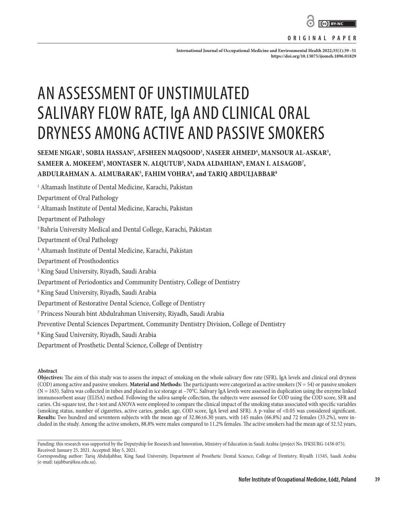

#### **ORIGINAL PAPER**

**International Journal of Occupational Medicine and Environmental Health 2022;35(1):39–51 <https://doi.org/10.13075/ijomeh.1896.01829>**

# AN ASSESSMENT OF UNSTIMULATED SALIVARY FLOW RATE, IgA AND CLINICAL ORAL DRYNESS AMONG ACTIVE AND PASSIVE SMOKERS

# **SEEME NIGAR1 , SOBIA HASSAN2 , AFSHEEN MAQSOOD3 , NASEER AHMED4 , MANSOUR AL-ASKAR5 , SAMEER A. MOKEEM5 , MONTASER N. ALQUTUB5 , NADA ALDAHIAN6 , EMAN I. ALSAGOB7 , ABDULRAHMAN A. ALMUBARAK5 , FAHIM VOHRA8 , and TARIQ ABDULJABBAR8**

1 Altamash Institute of Dental Medicine, Karachi, Pakistan

Department of Oral Pathology

2 Altamash Institute of Dental Medicine, Karachi, Pakistan

Department of Pathology

3 Bahria University Medical and Dental College, Karachi, Pakistan

Department of Oral Pathology

4 Altamash Institute of Dental Medicine, Karachi, Pakistan

Department of Prosthodontics

5 King Saud University, Riyadh, Saudi Arabia

Department of Periodontics and Community Dentistry, College of Dentistry

6 King Saud University, Riyadh, Saudi Arabia

Department of Restorative Dental Science, College of Dentistry

7 Princess Nourah bint Abdulrahman University, Riyadh, Saudi Arabia

Preventive Dental Sciences Department, Community Dentistry Division, College of Dentistry

8 King Saud University, Riyadh, Saudi Arabia

Department of Prosthetic Dental Science, College of Dentistry

#### **Abstract**

**Objectives:** The aim of this study was to assess the impact of smoking on the whole salivary flow rate (SFR), IgA levels and clinical oral dryness (COD) among active and passive smokers. **Material and Methods:** The participants were categorized as active smokers ( $N = 54$ ) or passive smokers  $(N = 163)$ . Saliva was collected in tubes and placed in ice storage at  $-70^{\circ}$ C. Salivary IgA levels were assessed in duplication using the enzyme linked immunosorbent assay (ELISA) method. Following the saliva sample collection, the subjects were assessed for COD using the COD score, SFR and caries. Chi-square test, the t-test and ANOVA were employed to compare the clinical impact of the smoking status associated with specific variables (smoking status, number of cigarettes, active caries, gender, age, COD score, IgA level and SFR). A p-value of <0.05 was considered significant. **Results:** Two hundred and seventeen subjects with the mean age of 32.86±6.30 years, with 145 males (66.8%) and 72 females (33.2%), were included in the study. Among the active smokers, 88.8% were males compared to 11.2% females. The active smokers had the mean age of 32.52 years,

Funding: this research was supported by the Deputyship for Research and Innovation, Ministry of Education in Saudi Arabia (project No. IFKSURG-1438-075). Received: January 25, 2021. Accepted: May 5, 2021.

Corresponding author: Tariq Abduljabbar, King Saud University, Department of Prosthetic Dental Science, College of Dentistry, Riyadh 11545, Saudi Arabia (e-mail: tajabbar@ksu.edu.sa).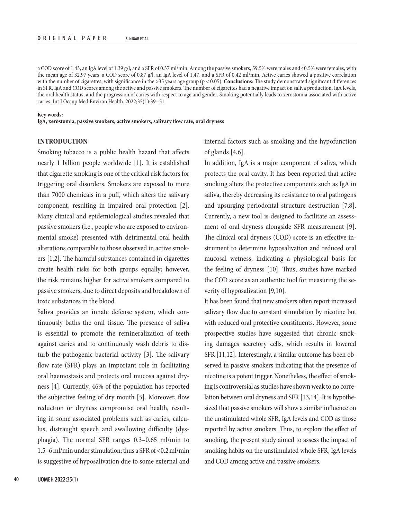a COD score of 1.43, an IgA level of 1.39 g/l, and a SFR of 0.37 ml/min. Among the passive smokers, 59.5% were males and 40.5% were females, with the mean age of 32.97 years, a COD score of 0.87 g/l, an IgA level of 1.47, and a SFR of 0.42 ml/min. Active caries showed a positive correlation with the number of cigarettes, with significance in the >35 years age group (p < 0.05). **Conclusions:** The study demonstrated significant differences in SFR, IgA and COD scores among the active and passive smokers. The number of cigarettes had a negative impact on saliva production, IgA levels, the oral health status, and the progression of caries with respect to age and gender. Smoking potentially leads to xerostomia associated with active caries. Int J Occup Med Environ Health. 2022;35(1):39–51

#### **Key words:**

**IgA, xerostomia, passive smokers, active smokers, salivary flow rate, oral dryness**

#### **INTRODUCTION**

Smoking tobacco is a public health hazard that affects nearly 1 billion people worldwide [1]. It is established that cigarette smoking is one of the critical risk factors for triggering oral disorders. Smokers are exposed to more than 7000 chemicals in a puff, which alters the salivary component, resulting in impaired oral protection [2]. Many clinical and epidemiological studies revealed that passive smokers (i.e., people who are exposed to environmental smoke) presented with detrimental oral health alterations comparable to those observed in active smokers [1,2]. The harmful substances contained in cigarettes create health risks for both groups equally; however, the risk remains higher for active smokers compared to passive smokers, due to direct deposits and breakdown of toxic substances in the blood.

Saliva provides an innate defense system, which continuously baths the oral tissue. The presence of saliva is essential to promote the remineralization of teeth against caries and to continuously wash debris to disturb the pathogenic bacterial activity [3]. The salivary flow rate (SFR) plays an important role in facilitating oral haemostasis and protects oral mucosa against dryness [4]. Currently, 46% of the population has reported the subjective feeling of dry mouth [5]. Moreover, flow reduction or dryness compromise oral health, resulting in some associated problems such as caries, calculus, distraught speech and swallowing difficulty (dysphagia). The normal SFR ranges 0.3–0.65 ml/min to 1.5–6 ml/min under stimulation; thus a SFR of <0.2 ml/min is suggestive of hyposalivation due to some external and

internal factors such as smoking and the hypofunction of glands [4,6].

In addition, IgA is a major component of saliva, which protects the oral cavity. It has been reported that active smoking alters the protective components such as IgA in saliva, thereby decreasing its resistance to oral pathogens and upsurging periodontal structure destruction [7,8]. Currently, a new tool is designed to facilitate an assessment of oral dryness alongside SFR measurement [9]. The clinical oral dryness (COD) score is an effective instrument to determine hyposalivation and reduced oral mucosal wetness, indicating a physiological basis for the feeling of dryness [10]. Thus, studies have marked the COD score as an authentic tool for measuring the severity of hyposalivation [9,10].

It has been found that new smokers often report increased salivary flow due to constant stimulation by nicotine but with reduced oral protective constituents. However, some prospective studies have suggested that chronic smoking damages secretory cells, which results in lowered SFR [11,12]. Interestingly, a similar outcome has been observed in passive smokers indicating that the presence of nicotine is a potent trigger. Nonetheless, the effect of smoking is controversial as studies have shown weak to no correlation between oral dryness and SFR [13,14]. It is hypothesized that passive smokers will show a similar influence on the unstimulated whole SFR, IgA levels and COD as those reported by active smokers. Thus, to explore the effect of smoking, the present study aimed to assess the impact of smoking habits on the unstimulated whole SFR, IgA levels and COD among active and passive smokers.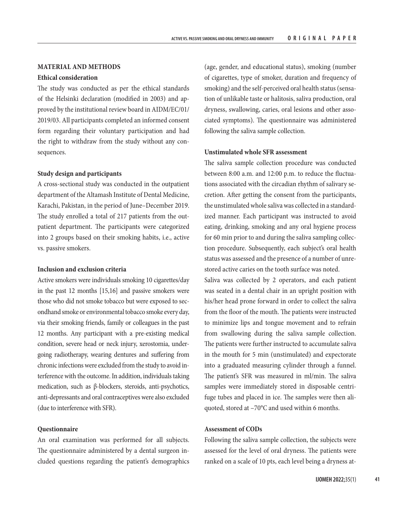#### **MATERIAL AND METHODS**

#### **Ethical consideration**

The study was conducted as per the ethical standards of the Helsinki declaration (modified in 2003) and approved by the institutional review board in AIDM/EC/01/ 2019/03. All participants completed an informed consent form regarding their voluntary participation and had the right to withdraw from the study without any consequences.

#### **Study design and participants**

A cross-sectional study was conducted in the outpatient department of the Altamash Institute of Dental Medicine, Karachi, Pakistan, in the period of June–December 2019. The study enrolled a total of 217 patients from the outpatient department. The participants were categorized into 2 groups based on their smoking habits, i.e., active vs. passive smokers.

## **Inclusion and exclusion criteria**

Active smokers were individuals smoking 10 cigarettes/day in the past 12 months [15,16] and passive smokers were those who did not smoke tobacco but were exposed to secondhand smoke or environmental tobacco smoke every day, via their smoking friends, family or colleagues in the past 12 months. Any participant with a pre-existing medical condition, severe head or neck injury, xerostomia, undergoing radiotherapy, wearing dentures and suffering from chronic infections were excluded from the study to avoid interference with the outcome. In addition, individuals taking medication, such as β-blockers, steroids, anti-psychotics, anti-depressants and oral contraceptives were also excluded (due to interference with SFR).

#### **Questionnaire**

An oral examination was performed for all subjects. The questionnaire administered by a dental surgeon included questions regarding the patient's demographics

(age, gender, and educational status), smoking (number of cigarettes, type of smoker, duration and frequency of smoking) and the self-perceived oral health status (sensation of unlikable taste or halitosis, saliva production, oral dryness, swallowing, caries, oral lesions and other associated symptoms). The questionnaire was administered following the saliva sample collection.

#### **Unstimulated whole SFR assessment**

The saliva sample collection procedure was conducted between 8:00 a.m. and 12:00 p.m. to reduce the fluctuations associated with the circadian rhythm of salivary secretion. After getting the consent from the participants, the unstimulated whole saliva was collected in a standardized manner. Each participant was instructed to avoid eating, drinking, smoking and any oral hygiene process for 60 min prior to and during the saliva sampling collection procedure. Subsequently, each subject's oral health status was assessed and the presence of a number of unrestored active caries on the tooth surface was noted.

Saliva was collected by 2 operators, and each patient was seated in a dental chair in an upright position with his/her head prone forward in order to collect the saliva from the floor of the mouth. The patients were instructed to minimize lips and tongue movement and to refrain from swallowing during the saliva sample collection. The patients were further instructed to accumulate saliva in the mouth for 5 min (unstimulated) and expectorate into a graduated measuring cylinder through a funnel. The patient's SFR was measured in ml/min. The saliva samples were immediately stored in disposable centrifuge tubes and placed in ice. The samples were then aliquoted, stored at –70°C and used within 6 months.

## **Assessment of CODs**

Following the saliva sample collection, the subjects were assessed for the level of oral dryness. The patients were ranked on a scale of 10 pts, each level being a dryness at-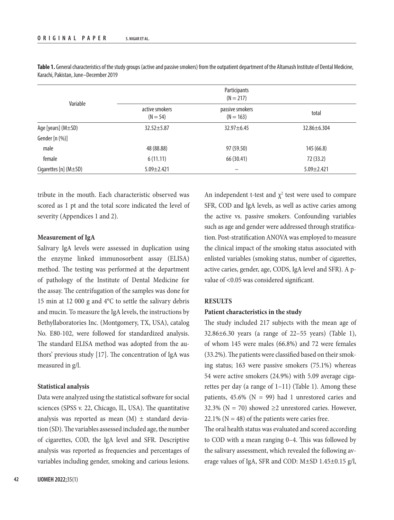| Variable                 | Participants<br>$(N = 217)$  |                                |                   |  |
|--------------------------|------------------------------|--------------------------------|-------------------|--|
|                          | active smokers<br>$(N = 54)$ | passive smokers<br>$(N = 163)$ | total             |  |
| Age [years] $(M \pm SD)$ | 32.52±5.87                   | $32.97 \pm 6.45$               | $32.86 \pm 6.304$ |  |
| Gender [n (%)]           |                              |                                |                   |  |
| male                     | 48 (88.88)                   | 97 (59.50)                     | 145 (66.8)        |  |
| female                   | 6(11.11)                     | 66 (30.41)                     | 72 (33.2)         |  |
| Cigarettes [n] (M±SD)    | $5.09 \pm 2.421$             |                                | $5.09 \pm 2.421$  |  |

Table 1. General characteristics of the study groups (active and passive smokers) from the outpatient department of the Altamash Institute of Dental Medicine, Karachi, Pakistan, June–December 2019

tribute in the mouth. Each characteristic observed was scored as 1 pt and the total score indicated the level of severity (Appendices 1 and 2).

## **Measurement of IgA**

Salivary IgA levels were assessed in duplication using the enzyme linked immunosorbent assay (ELISA) method. The testing was performed at the department of pathology of the Institute of Dental Medicine for the assay. The centrifugation of the samples was done for 15 min at 12 000 g and 4°C to settle the salivary debris and mucin. To measure the IgA levels, the instructions by Bethyllaboratories Inc. (Montgomery, TX, USA), catalog No. E80-102, were followed for standardized analysis. The standard ELISA method was adopted from the authors' previous study [17]. The concentration of IgA was measured in g/l.

#### **Statistical analysis**

Data were analyzed using the statistical software for social sciences (SPSS v. 22, Chicago, IL, USA). The quantitative analysis was reported as mean  $(M)$   $\pm$  standard deviation (SD). The variables assessed included age, the number of cigarettes, COD, the IgA level and SFR. Descriptive analysis was reported as frequencies and percentages of variables including gender, smoking and carious lesions.

An independent t-test and  $\chi^2$  test were used to compare SFR, COD and IgA levels, as well as active caries among the active vs. passive smokers. Confounding variables such as age and gender were addressed through stratification. Post-stratification ANOVA was employed to measure the clinical impact of the smoking status associated with enlisted variables (smoking status, number of cigarettes, active caries, gender, age, CODS, IgA level and SFR). A pvalue of <0.05 was considered significant.

## **RESULTS**

### **Patient characteristics in the study**

The study included 217 subjects with the mean age of 32.86±6.30 years (a range of 22–55 years) (Table 1), of whom 145 were males (66.8%) and 72 were females (33.2%). The patients were classified based on their smoking status; 163 were passive smokers (75.1%) whereas 54 were active smokers (24.9%) with 5.09 average cigarettes per day (a range of 1–11) (Table 1). Among these patients,  $45.6\%$  (N = 99) had 1 unrestored caries and 32.3% ( $N = 70$ ) showed  $\geq 2$  unrestored caries. However,  $22.1\%$  (N = 48) of the patients were caries free.

The oral health status was evaluated and scored according to COD with a mean ranging 0–4. This was followed by the salivary assessment, which revealed the following average values of IgA, SFR and COD: M±SD 1.45±0.15 g/l,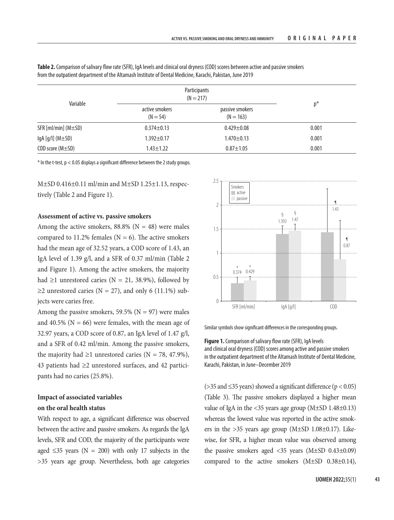| Variable                      | Participants<br>$(N = 217)$  |                                |       |
|-------------------------------|------------------------------|--------------------------------|-------|
|                               | active smokers<br>$(N = 54)$ | passive smokers<br>$(N = 163)$ | $p^*$ |
| $SFR$ [ml/min] ( $M \pm SD$ ) | $0.374 \pm 0.13$             | $0.429 \pm 0.08$               | 0.001 |
| $\lg A[g/l]$ (M $\pm$ SD)     | $1.392 \pm 0.17$             | $1.470 \pm 0.13$               | 0.001 |
| COD score (M±SD)              | $1.43 \pm 1.22$              | $0.87 + 1.05$                  | 0.001 |

**Table 2.** Comparison of salivary flow rate (SFR), IgA levels and clinical oral dryness (COD) scores between active and passive smokers from the outpatient department of the Altamash Institute of Dental Medicine, Karachi, Pakistan, June 2019

 $*$  In the t-test,  $p < 0.05$  displays a significant difference between the 2 study groups.

 $M\pm SD$  0.416 $\pm$ 0.11 ml/min and M $\pm SD$  1.25 $\pm$ 1.13, respectively (Table 2 and Figure 1).

#### **Assessment of active vs. passive smokers**

Among the active smokers, 88.8% ( $N = 48$ ) were males compared to 11.2% females ( $N = 6$ ). The active smokers had the mean age of 32.52 years, a COD score of 1.43, an IgA level of 1.39 g/l, and a SFR of 0.37 ml/min (Table 2 and Figure 1). Among the active smokers, the majority had  $\geq$ 1 unrestored caries (N = 21, 38.9%), followed by ≥2 unrestored caries ( $N = 27$ ), and only 6 (11.1%) subjects were caries free.

Among the passive smokers, 59.5% ( $N = 97$ ) were males and 40.5% ( $N = 66$ ) were females, with the mean age of 32.97 years, a COD score of 0.87, an IgA level of 1.47 g/l, and a SFR of 0.42 ml/min. Among the passive smokers, the majority had  $\geq 1$  unrestored caries (N = 78, 47.9%), 43 patients had ≥2 unrestored surfaces, and 42 participants had no caries (25.8%).

## **Impact of associated variables on the oral health status**

With respect to age, a significant difference was observed between the active and passive smokers. As regards the IgA levels, SFR and COD, the majority of the participants were aged  $\leq$ 35 years (N = 200) with only 17 subjects in the >35 years age group. Nevertheless, both age categories



Similar symbols show significant differences in the corresponding groups.

**Figure 1.** Comparison of salivary flow rate (SFR), IgA levels and clinical oral dryness (COD) scores among active and passive smokers in the outpatient department of the Altamash Institute of Dental Medicine, Karachi, Pakistan, in June–December 2019

( $>$ 35 and  $\leq$ 35 years) showed a significant difference ( $p$  < 0.05) (Table 3). The passive smokers displayed a higher mean value of IgA in the <35 years age group (M±SD 1.48±0.13) whereas the lowest value was reported in the active smokers in the  $>35$  years age group (M $\pm$ SD 1.08 $\pm$ 0.17). Likewise, for SFR, a higher mean value was observed among the passive smokers aged <35 years (M±SD 0.43±0.09) compared to the active smokers (M±SD 0.38±0.14),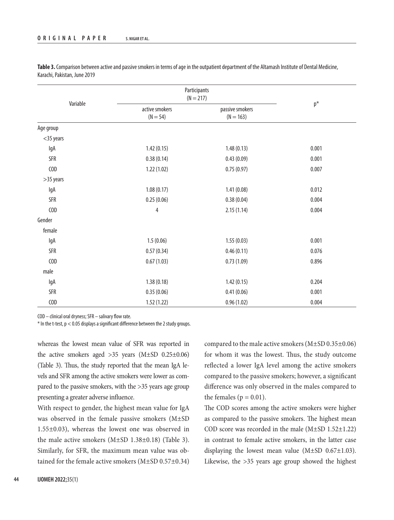| Variable     | Participants<br>$(N = 217)$  |                                |       |
|--------------|------------------------------|--------------------------------|-------|
|              | active smokers<br>$(N = 54)$ | passive smokers<br>$(N = 163)$ | $p^*$ |
| Age group    |                              |                                |       |
| $<$ 35 years |                              |                                |       |
| IgA          | 1.42(0.15)                   | 1.48(0.13)                     | 0.001 |
| <b>SFR</b>   | 0.38(0.14)                   | 0.43(0.09)                     | 0.001 |
| COD          | 1.22(1.02)                   | 0.75(0.97)                     | 0.007 |
| >35 years    |                              |                                |       |
| lgA          | 1.08(0.17)                   | 1.41(0.08)                     | 0.012 |
| <b>SFR</b>   | 0.25(0.06)                   | 0.38(0.04)                     | 0.004 |
| COD          | $\overline{4}$               | 2.15(1.14)                     | 0.004 |
| Gender       |                              |                                |       |
| female       |                              |                                |       |
| IgA          | 1.5(0.06)                    | 1.55(0.03)                     | 0.001 |
| <b>SFR</b>   | 0.57(0.34)                   | 0.46(0.11)                     | 0.076 |
| COD          | 0.67(1.03)                   | 0.73(1.09)                     | 0.896 |
| male         |                              |                                |       |
| IgA          | 1.38(0.18)                   | 1.42(0.15)                     | 0.204 |
| <b>SFR</b>   | 0.35(0.06)                   | 0.41(0.06)                     | 0.001 |
| COD          | 1.52(1.22)                   | 0.96(1.02)                     | 0.004 |

**Table 3.** Comparison between active and passive smokers in terms of age in the outpatient department of the Altamash Institute of Dental Medicine, Karachi, Pakistan, June 2019

COD – clinical oral dryness; SFR – salivary flow rate.

 $*$  In the t-test,  $p < 0.05$  displays a significant difference between the 2 study groups.

whereas the lowest mean value of SFR was reported in the active smokers aged  $>35$  years (M $\pm$ SD 0.25 $\pm$ 0.06) (Table 3). Thus, the study reported that the mean IgA levels and SFR among the active smokers were lower as compared to the passive smokers, with the >35 years age group presenting a greater adverse influence.

With respect to gender, the highest mean value for IgA was observed in the female passive smokers (M±SD 1.55±0.03), whereas the lowest one was observed in the male active smokers  $(M\pm SD\ 1.38\pm 0.18)$  (Table 3). Similarly, for SFR, the maximum mean value was obtained for the female active smokers (M±SD 0.57±0.34) compared to the male active smokers (M±SD 0.35±0.06) for whom it was the lowest. Thus, the study outcome reflected a lower IgA level among the active smokers compared to the passive smokers; however, a significant difference was only observed in the males compared to the females ( $p = 0.01$ ).

The COD scores among the active smokers were higher as compared to the passive smokers. The highest mean COD score was recorded in the male  $(M\pm SD\ 1.52\pm 1.22)$ in contrast to female active smokers, in the latter case displaying the lowest mean value  $(M\pm SD\ 0.67\pm 1.03)$ . Likewise, the  $>35$  years age group showed the highest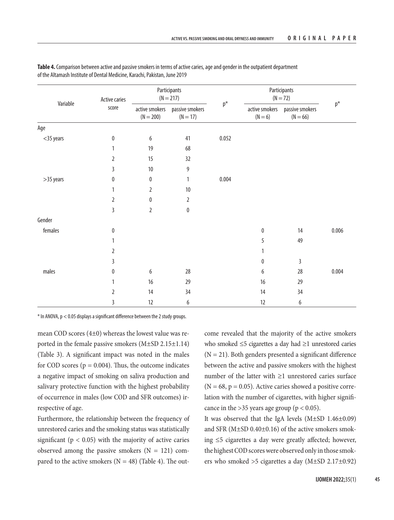| Variable     | Active caries<br>score | Participants<br>$(N = 217)$ |                                                 |                | Participants<br>$(N = 72)$  |                               |                |
|--------------|------------------------|-----------------------------|-------------------------------------------------|----------------|-----------------------------|-------------------------------|----------------|
|              |                        | $(N = 200)$                 | active smokers    passive smokers<br>$(N = 17)$ | $\mathsf{p}^*$ | active smokers<br>$(N = 6)$ | passive smokers<br>$(N = 66)$ | $\mathsf{p}^*$ |
| Age          |                        |                             |                                                 |                |                             |                               |                |
| $<$ 35 years | $\pmb{0}$              | 6                           | 41                                              | 0.052          |                             |                               |                |
|              |                        | 19                          | 68                                              |                |                             |                               |                |
|              | $\overline{2}$         | 15                          | 32                                              |                |                             |                               |                |
|              | 3                      | $10\,$                      | 9                                               |                |                             |                               |                |
| >35 years    | 0                      | $\bf{0}$                    | 1                                               | 0.004          |                             |                               |                |
|              |                        | 2                           | $10$                                            |                |                             |                               |                |
|              | 2                      | $\bf{0}$                    | $\overline{2}$                                  |                |                             |                               |                |
|              | 3                      | $\overline{2}$              | $\pmb{0}$                                       |                |                             |                               |                |
| Gender       |                        |                             |                                                 |                |                             |                               |                |
| females      | $\pmb{0}$              |                             |                                                 |                | $\mathbf{0}$                | 14                            | 0.006          |
|              | 1                      |                             |                                                 |                | 5                           | 49                            |                |
|              | $\overline{2}$         |                             |                                                 |                |                             |                               |                |
|              | 3                      |                             |                                                 |                | 0                           | $\mathsf 3$                   |                |
| males        | 0                      | $\boldsymbol{6}$            | 28                                              |                | 6                           | 28                            | 0.004          |
|              |                        | 16                          | 29                                              |                | 16                          | 29                            |                |
|              | 2                      | 14                          | 34                                              |                | 14                          | 34                            |                |
|              | 3                      | 12                          | 6                                               |                | 12                          | 6                             |                |

**Table 4.** Comparison between active and passive smokers in terms of active caries, age and gender in the outpatient department of the Altamash Institute of Dental Medicine, Karachi, Pakistan, June 2019

\* In ANOVA, p < 0.05 displays a significant difference between the 2 study groups.

mean COD scores (4±0) whereas the lowest value was reported in the female passive smokers (M±SD 2.15±1.14) (Table 3). A significant impact was noted in the males for COD scores ( $p = 0.004$ ). Thus, the outcome indicates a negative impact of smoking on saliva production and salivary protective function with the highest probability of occurrence in males (low COD and SFR outcomes) irrespective of age.

Furthermore, the relationship between the frequency of unrestored caries and the smoking status was statistically significant ( $p < 0.05$ ) with the majority of active caries observed among the passive smokers  $(N = 121)$  compared to the active smokers ( $N = 48$ ) (Table 4). The outcome revealed that the majority of the active smokers who smoked ≤5 cigarettes a day had ≥1 unrestored caries  $(N = 21)$ . Both genders presented a significant difference between the active and passive smokers with the highest number of the latter with ≥1 unrestored caries surface  $(N = 68, p = 0.05)$ . Active caries showed a positive correlation with the number of cigarettes, with higher significance in the >35 years age group ( $p < 0.05$ ).

It was observed that the IgA levels (M±SD 1.46±0.09) and SFR ( $M\pm SD$  0.40 $\pm$ 0.16) of the active smokers smoking ≤5 cigarettes a day were greatly affected; however, the highest COD scores were observed only in those smokers who smoked >5 cigarettes a day (M±SD 2.17±0.92)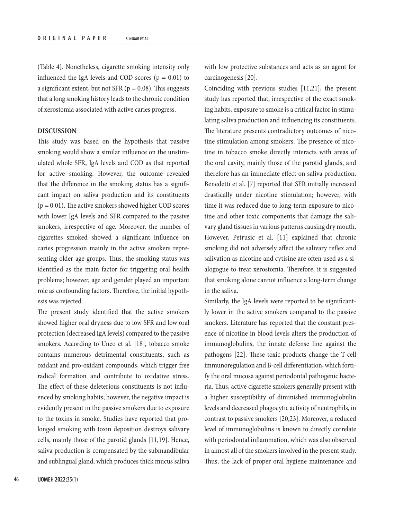(Table 4). Nonetheless, cigarette smoking intensity only influenced the IgA levels and COD scores  $(p = 0.01)$  to a significant extent, but not SFR ( $p = 0.08$ ). This suggests that a long smoking history leads to the chronic condition of xerostomia associated with active caries progress.

## **DISCUSSION**

This study was based on the hypothesis that passive smoking would show a similar influence on the unstimulated whole SFR, IgA levels and COD as that reported for active smoking. However, the outcome revealed that the difference in the smoking status has a significant impact on saliva production and its constituents  $(p = 0.01)$ . The active smokers showed higher COD scores with lower IgA levels and SFR compared to the passive smokers, irrespective of age. Moreover, the number of cigarettes smoked showed a significant influence on caries progression mainly in the active smokers representing older age groups. Thus, the smoking status was identified as the main factor for triggering oral health problems; however, age and gender played an important role as confounding factors. Therefore, the initial hypothesis was rejected.

The present study identified that the active smokers showed higher oral dryness due to low SFR and low oral protection (decreased IgA levels) compared to the passive smokers. According to Uneo et al. [18], tobacco smoke contains numerous detrimental constituents, such as oxidant and pro-oxidant compounds, which trigger free radical formation and contribute to oxidative stress. The effect of these deleterious constituents is not influenced by smoking habits; however, the negative impact is evidently present in the passive smokers due to exposure to the toxins in smoke. Studies have reported that prolonged smoking with toxin deposition destroys salivary cells, mainly those of the parotid glands [11,19]. Hence, saliva production is compensated by the submandibular and sublingual gland, which produces thick mucus saliva

with low protective substances and acts as an agent for carcinogenesis [20].

Coinciding with previous studies [11,21], the present study has reported that, irrespective of the exact smoking habits, exposure to smoke is a critical factor in stimulating saliva production and influencing its constituents. The literature presents contradictory outcomes of nicotine stimulation among smokers. The presence of nicotine in tobacco smoke directly interacts with areas of the oral cavity, mainly those of the parotid glands, and therefore has an immediate effect on saliva production. Benedetti et al. [7] reported that SFR initially increased drastically under nicotine stimulation; however, with time it was reduced due to long-term exposure to nicotine and other toxic components that damage the salivary gland tissues in various patterns causing dry mouth. However, Petrusic et al. [11] explained that chronic smoking did not adversely affect the salivary reflex and salivation as nicotine and cytisine are often used as a sialogogue to treat xerostomia. Therefore, it is suggested that smoking alone cannot influence a long-term change in the saliva.

Similarly, the IgA levels were reported to be significantly lower in the active smokers compared to the passive smokers. Literature has reported that the constant presence of nicotine in blood levels alters the production of immunoglobulins, the innate defense line against the pathogens [22]. These toxic products change the T-cell immunoregulation and B-cell differentiation, which fortify the oral mucosa against periodontal pathogenic bacteria. Thus, active cigarette smokers generally present with a higher susceptibility of diminished immunoglobulin levels and decreased phagocytic activity of neutrophils, in contrast to passive smokers [20,23]. Moreover, a reduced level of immunoglobulins is known to directly correlate with periodontal inflammation, which was also observed in almost all of the smokers involved in the present study. Thus, the lack of proper oral hygiene maintenance and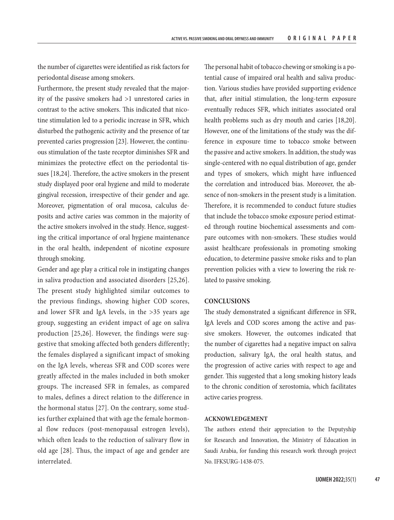the number of cigarettes were identified as risk factors for periodontal disease among smokers.

Furthermore, the present study revealed that the majority of the passive smokers had >1 unrestored caries in contrast to the active smokers. This indicated that nicotine stimulation led to a periodic increase in SFR, which disturbed the pathogenic activity and the presence of tar prevented caries progression [23]. However, the continuous stimulation of the taste receptor diminishes SFR and minimizes the protective effect on the periodontal tissues [18,24]. Therefore, the active smokers in the present study displayed poor oral hygiene and mild to moderate gingival recession, irrespective of their gender and age. Moreover, pigmentation of oral mucosa, calculus deposits and active caries was common in the majority of the active smokers involved in the study. Hence, suggesting the critical importance of oral hygiene maintenance in the oral health, independent of nicotine exposure through smoking.

Gender and age play a critical role in instigating changes in saliva production and associated disorders [25,26]. The present study highlighted similar outcomes to the previous findings, showing higher COD scores, and lower SFR and IgA levels, in the >35 years age group, suggesting an evident impact of age on saliva production [25,26]. However, the findings were suggestive that smoking affected both genders differently; the females displayed a significant impact of smoking on the IgA levels, whereas SFR and COD scores were greatly affected in the males included in both smoker groups. The increased SFR in females, as compared to males, defines a direct relation to the difference in the hormonal status [27]. On the contrary, some studies further explained that with age the female hormonal flow reduces (post-menopausal estrogen levels), which often leads to the reduction of salivary flow in old age [28]. Thus, the impact of age and gender are interrelated.

The personal habit of tobacco chewing or smoking is a potential cause of impaired oral health and saliva production. Various studies have provided supporting evidence that, after initial stimulation, the long-term exposure eventually reduces SFR, which initiates associated oral health problems such as dry mouth and caries [18,20]. However, one of the limitations of the study was the difference in exposure time to tobacco smoke between the passive and active smokers. In addition, the study was single-centered with no equal distribution of age, gender and types of smokers, which might have influenced the correlation and introduced bias. Moreover, the absence of non-smokers in the present study is a limitation. Therefore, it is recommended to conduct future studies that include the tobacco smoke exposure period estimated through routine biochemical assessments and compare outcomes with non-smokers. These studies would assist healthcare professionals in promoting smoking education, to determine passive smoke risks and to plan prevention policies with a view to lowering the risk related to passive smoking.

#### **CONCLUSIONS**

The study demonstrated a significant difference in SFR, IgA levels and COD scores among the active and passive smokers. However, the outcomes indicated that the number of cigarettes had a negative impact on saliva production, salivary IgA, the oral health status, and the progression of active caries with respect to age and gender. This suggested that a long smoking history leads to the chronic condition of xerostomia, which facilitates active caries progress.

#### **ACKNOWLEDGEMENT**

The authors extend their appreciation to the Deputyship for Research and Innovation, the Ministry of Education in Saudi Arabia, for funding this research work through project No. IFKSURG-1438-075.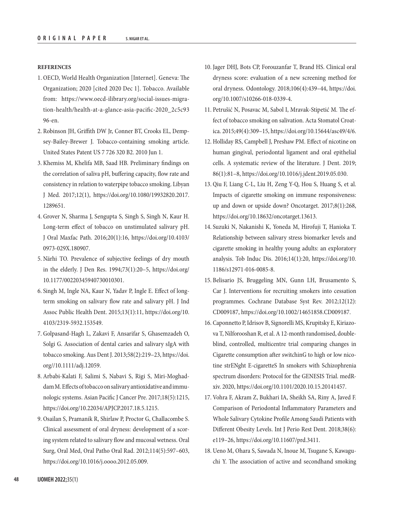#### **REFERENCES**

- 1. OECD, World Health Organization [Internet]. Geneva: The Organization; 2020 [cited 2020 Dec 1]. Tobacco. Available from: [https://www.oecd-ilibrary.org/social-issues-migra](https://www.oecd-ilibrary.org/social-issues-migration-health/health-at-a-glance-asia-pacific-2020_2c5c9396-en)[tion-health/health-at-a-glance-asia-pacific-2020\\_2c5c93](https://www.oecd-ilibrary.org/social-issues-migration-health/health-at-a-glance-asia-pacific-2020_2c5c9396-en) [96-en.](https://www.oecd-ilibrary.org/social-issues-migration-health/health-at-a-glance-asia-pacific-2020_2c5c9396-en)
- 2. Robinson JH, Griffith DW Jr, Conner BT, Crooks EL, Dempsey-Bailey-Brewer J. Tobacco-containing smoking article. United States Patent US 7 726 320 B2. 2010 Jun 1.
- 3. Khemiss M, Khelifa MB, Saad HB. Preliminary findings on the correlation of saliva pH, buffering capacity, flow rate and consistency in relation to waterpipe tobacco smoking. Libyan J Med. 2017;12(1), [https://doi.org/10.1080/19932820.2017.](https://doi.org/10.1080/19932820.2017.1289651) [1289651](https://doi.org/10.1080/19932820.2017.1289651).
- 4. Grover N, Sharma J, Sengupta S, Singh S, Singh N, Kaur H. Long-term effect of tobacco on unstimulated salivary pH. J Oral Maxfac Path. 2016;20(1):16, [https://doi.org/10.4103/](https://doi.org/10.4103/0973-029X.180907) [0973-029X.180907](https://doi.org/10.4103/0973-029X.180907).
- 5. Närhi TO. Prevalence of subjective feelings of dry mouth in the elderly. J Den Res. 1994;73(1):20–5, [https://doi.org/](https://doi.org/10.1177/00220345940730010301) [10.1177/00220345940730010301.](https://doi.org/10.1177/00220345940730010301)
- 6. Singh M, Ingle NA, Kaur N, Yadav P, Ingle E. Effect of longterm smoking on salivary flow rate and salivary pH. J Ind Assoc Public Health Dent. 2015;13(1):11, [https://doi.org/10.](https://doi.org/10.4103/2319-5932.153549) [4103/2319-5932.153549](https://doi.org/10.4103/2319-5932.153549).
- 7. Golpasand-Hagh L, Zakavi F, Ansarifar S, Ghasemzadeh O, Solgi G. Association of dental caries and salivary sIgA with tobacco smoking. Aus Dent J. 2013;58(2):219–23, [https://doi.](https://doi.org//10.1111/adj.12059) [org//10.1111/adj.12059.](https://doi.org//10.1111/adj.12059)
- 8. Arbabi-Kalati F, Salimi S, Nabavi S, Rigi S, Miri-Moghaddam M. Effects of tobacco on salivary antioxidative and immunologic systems. Asian Pacific J Cancer Pre. 2017;18(5):1215, <https://doi.org/10.22034/APJCP.2017.18.5.1215>.
- 9. Osailan S, Pramanik R, Shirlaw P, Proctor G, Challacombe S. Clinical assessment of oral dryness: development of a scoring system related to salivary flow and mucosal wetness. Oral Surg, Oral Med, Oral Patho Oral Rad. 2012;114(5):597–603, <https://doi.org/10.1016/j.oooo.2012.05.009>.
- 10. Jager DHJ, Bots CP, Forouzanfar T, Brand HS. Clinical oral dryness score: evaluation of a new screening method for oral dryness. Odontology. 2018;106(4):439–44, [https://doi.](https://doi.org/10.1007/s10266-018-0339-4) [org/10.1007/s10266-018-0339-4](https://doi.org/10.1007/s10266-018-0339-4).
- 11. Petrušić N, Posavac M, Sabol I, Mravak-Stipetić M. The effect of tobacco smoking on salivation. Acta Stomatol Croatica. 2015;49(4):309–15,<https://doi.org/10.15644/asc49/4/6>.
- 12. Holliday RS, Campbell J, Preshaw PM. Effect of nicotine on human gingival, periodontal ligament and oral epithelial cells. A systematic review of the literature. J Dent. 2019; 86(1):81–8, [https://doi.org/10.1016/j.jdent.2019.05.030.](https://doi.org/10.1016/j.jdent.2019.05.030)
- 13. Qiu F, Liang C-L, Liu H, Zeng Y-Q, Hou S, Huang S, et al. Impacts of cigarette smoking on immune responsiveness: up and down or upside down? Oncotarget. 2017;8(1):268, <https://doi.org/10.18632/oncotarget.13613>.
- 14. Suzuki N, Nakanishi K, Yoneda M, Hirofuji T, Hanioka T. Relationship between salivary stress biomarker levels and cigarette smoking in healthy young adults: an exploratory analysis. Tob Induc Dis. 2016;14(1):20, [https://doi.org/10.](https://doi.org/10.1186/s12971-016-0085-8) [1186/s12971-016-0085-8](https://doi.org/10.1186/s12971-016-0085-8).
- 15. Belisario JS, Bruggeling MN, Gunn LH, Brusamento S, Car J. Interventions for recruiting smokers into cessation programmes. Cochrane Database Syst Rev. 2012;12(12): CD009187,<https://doi.org/10.1002/14651858.CD009187>.
- 16. Caponnetto P, Idrisov B, Signorelli MS, Krupitsky E, Kiriazova T, Nilforooshan R, et al. A 12-month randomised, doubleblind, controlled, multicentre trial comparing changes in Cigarette consumption after switchinG to high or low nicotine strENght E-cigaretteS In smokers with Schizophrenia spectrum disorders: Protocol for the GENESIS Trial. medRxiv. 2020, [https://doi.org/10.1101/2020.10.15.20141457.](https://doi.org/10.1101/2020.10.15.20141457)
- 17. Vohra F, Akram Z, Bukhari IA, Sheikh SA, Riny A, Javed F. Comparison of Periodontal Inflammatory Parameters and Whole Salivary Cytokine Profile Among Saudi Patients with Different Obesity Levels. Int J Perio Rest Dent. 2018;38(6): e119–26, [https://doi.org/10.11607/prd.3411.](https://doi.org/10.11607/prd.3411)
- 18. Ueno M, Ohara S, Sawada N, Inoue M, Tsugane S, Kawaguchi Y. The association of active and secondhand smoking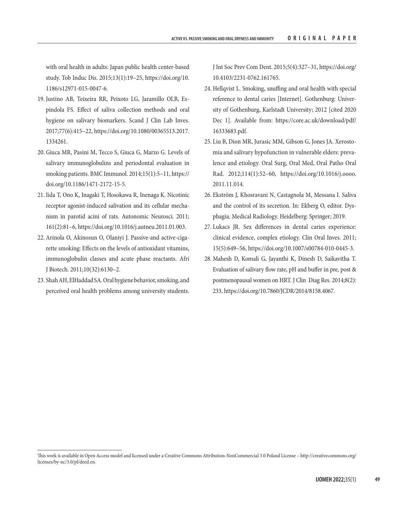with oral health in adults: Japan public health center-based study. Tob Induc Dis. 2015;13(1):19–25, [https://doi.org/10.](https://doi.org/10.1186/s12971-015-0047-6) [1186/s12971-015-0047-6.](https://doi.org/10.1186/s12971-015-0047-6)

- 19. Justino AB, Teixeira RR, Peixoto LG, Jaramillo OLB, Espindola FS. Effect of saliva collection methods and oral hygiene on salivary biomarkers. Scand J Clin Lab Inves. 2017;77(6):415–22, [https://doi.org/10.1080/00365513.2017.](https://doi.org/10.1080/00365513.2017.1334261) [1334261](https://doi.org/10.1080/00365513.2017.1334261).
- 20. Giuca MR, Pasini M, Tecco S, Giuca G, Marzo G. Levels of salivary immunoglobulins and periodontal evaluation in smoking patients. BMC Immunol. 2014;15(1):5–11, [https://](https://doi.org/10.1186/1471-2172-15-5) [doi.org/10.1186/1471-2172-15-5.](https://doi.org/10.1186/1471-2172-15-5)
- 21. Iida T, Ono K, Inagaki T, Hosokawa R, Inenaga K. Nicotinic receptor agonist-induced salivation and its cellular mechanism in parotid acini of rats. Autonomic Neurosci. 2011; 161(2):81–6, [https://doi.org/10.1016/j.autneu.2011.01.003.](https://doi.org/10.1016/j.autneu.2011.01.003)
- 22. Arinola O, Akinosun O, Olaniyi J. Passive-and active-cigarette smoking: Effects on the levels of antioxidant vitamins, immunoglobulin classes and acute phase reactants. Afri J Biotech. 2011;10(32):6130–2.
- 23. Shah AH, ElHaddad SA. Oral hygiene behavior, smoking, and perceived oral health problems among university students.

J Int Soc Prev Com Dent. 2015;5(4):327–31, [https://doi.org/](https://doi.org/10.4103/2231-0762.161765) [10.4103/2231-0762.161765.](https://doi.org/10.4103/2231-0762.161765)

- 24. Hellqvist L. Smoking, snuffing and oral health with special reference to dental caries [Internet]. Gothenburg: University of Gothenburg, Karlstadt University; 2012 [cited 2020 Dec 1]. Available from: [https://core.ac.uk/download/pdf/](https://core.ac.uk/download/pdf/16333683.pdf) [16333683.pdf.](https://core.ac.uk/download/pdf/16333683.pdf)
- 25. Liu B, Dion MR, Jurasic MM, Gibson G, Jones JA. Xerostomia and salivary hypofunction in vulnerable elders: prevalence and etiology. Oral Surg, Oral Med, Oral Patho Oral Rad. 2012;114(1):52–60, [https://doi.org/10.1016/j.oooo.](https://doi.org/10.1016/j.oooo.2011.11.014) [2011.11.014.](https://doi.org/10.1016/j.oooo.2011.11.014)
- 26. Ekström J, Khosravani N, Castagnola M, Messana I. Saliva and the control of its secretion. In: Ekberg O, editor. Dysphagia. Medical Radiology. Heidelberg: Springer; 2019.
- 27. Lukacs JR. Sex differences in dental caries experience: clinical evidence, complex etiology. Clin Oral Inves. 2011; 15(5):649–56, https://doi.org/10.1007/s00784-010-0445-3.
- 28. Mahesh D, Komali G, Jayanthi K, Dinesh D, Saikavitha T. Evaluation of salivary flow rate, pH and buffer in pre, post & postmenopausal women on HRT. J Clin Diag Res. 2014;8(2): 233, <https://doi.org/10.7860/JCDR/2014/8158.4067>.

This work is available in Open Access model and licensed under a Creative Commons Attribution-NonCommercial 3.0 Poland License – [http://creativecommons.org/](http://creativecommons.org/licenses/by-nc/3.0/pl/deed.en) [licenses/by-nc/3.0/pl/deed.en](http://creativecommons.org/licenses/by-nc/3.0/pl/deed.en).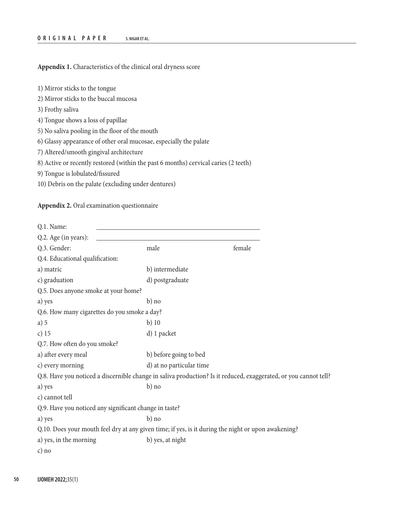**Appendix 1.** Characteristics of the clinical oral dryness score

- 1) Mirror sticks to the tongue
- 2) Mirror sticks to the buccal mucosa
- 3) Frothy saliva
- 4) Tongue shows a loss of papillae
- 5) No saliva pooling in the floor of the mouth
- 6) Glassy appearance of other oral mucosae, especially the palate
- 7) Altered/smooth gingival architecture
- 8) Active or recently restored (within the past 6 months) cervical caries (2 teeth)
- 9) Tongue is lobulated/fissured
- 10) Debris on the palate (excluding under dentures)

**Appendix 2.** Oral examination questionnaire

| Q.1. Name:                                                                                                       |                          |        |  |
|------------------------------------------------------------------------------------------------------------------|--------------------------|--------|--|
| Q.2. Age (in years):                                                                                             |                          |        |  |
| Q.3. Gender:                                                                                                     | male                     | female |  |
| Q.4. Educational qualification:                                                                                  |                          |        |  |
| a) matric                                                                                                        | b) intermediate          |        |  |
| c) graduation                                                                                                    | d) postgraduate          |        |  |
| Q.5. Does anyone smoke at your home?                                                                             |                          |        |  |
| a) yes                                                                                                           | b) no                    |        |  |
| Q.6. How many cigarettes do you smoke a day?                                                                     |                          |        |  |
| a) 5                                                                                                             | $b)$ 10                  |        |  |
| c) $15$                                                                                                          | d) 1 packet              |        |  |
| Q.7. How often do you smoke?                                                                                     |                          |        |  |
| a) after every meal                                                                                              | b) before going to bed   |        |  |
| c) every morning                                                                                                 | d) at no particular time |        |  |
| Q.8. Have you noticed a discernible change in saliva production? Is it reduced, exaggerated, or you cannot tell? |                          |        |  |
| a) yes                                                                                                           | $b)$ no                  |        |  |
| c) cannot tell                                                                                                   |                          |        |  |
| Q.9. Have you noticed any significant change in taste?                                                           |                          |        |  |
| a) yes                                                                                                           | $b)$ no                  |        |  |
| Q.10. Does your mouth feel dry at any given time; if yes, is it during the night or upon awakening?              |                          |        |  |
| a) yes, in the morning                                                                                           | b) yes, at night         |        |  |
| $c)$ no                                                                                                          |                          |        |  |
|                                                                                                                  |                          |        |  |